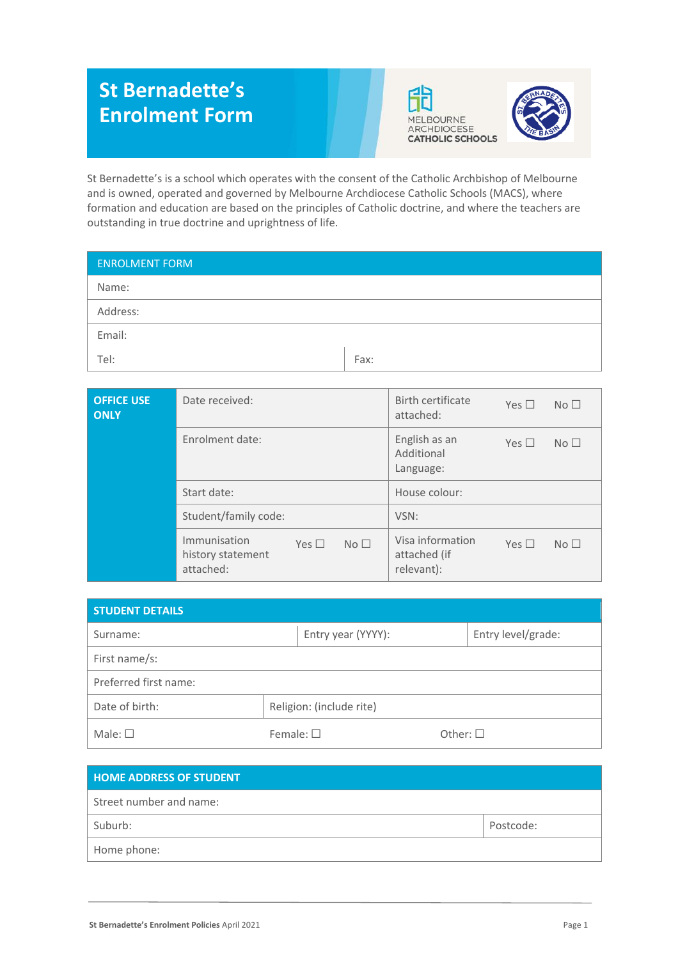# **St Bernadette's Enrolment Form**





St Bernadette's is a school which operates with the consent of the Catholic Archbishop of Melbourne and is owned, operated and governed by Melbourne Archdiocese Catholic Schools (MACS), where formation and education are based on the principles of Catholic doctrine, and where the teachers are outstanding in true doctrine and uprightness of life.

| Fax: |
|------|
|      |

| <b>OFFICE USE</b><br><b>ONLY</b> | Date received:                                 |            |                 | Birth certificate<br>attached:                 | Yes $\Box$ | No <sub>1</sub> |
|----------------------------------|------------------------------------------------|------------|-----------------|------------------------------------------------|------------|-----------------|
|                                  | Enrolment date:                                |            |                 | English as an<br>Additional<br>Language:       | Yes $\Box$ | No <sub>1</sub> |
|                                  | Start date:                                    |            |                 | House colour:                                  |            |                 |
|                                  | Student/family code:                           |            |                 | VSN:                                           |            |                 |
|                                  | Immunisation<br>history statement<br>attached: | Yes $\Box$ | No <sub>1</sub> | Visa information<br>attached (if<br>relevant): | Yes $\Box$ | No <sub>1</sub> |

| <b>STUDENT DETAILS</b> |                   |                          |                  |                    |  |  |
|------------------------|-------------------|--------------------------|------------------|--------------------|--|--|
| Surname:               |                   | Entry year (YYYY):       |                  | Entry level/grade: |  |  |
| First name/s:          |                   |                          |                  |                    |  |  |
| Preferred first name:  |                   |                          |                  |                    |  |  |
| Date of birth:         |                   | Religion: (include rite) |                  |                    |  |  |
| Male: $\square$        | Female: $\square$ |                          | Other: $\square$ |                    |  |  |

| <b>HOME ADDRESS OF STUDENT</b> |           |
|--------------------------------|-----------|
| Street number and name:        |           |
| Suburb:                        | Postcode: |
| Home phone:                    |           |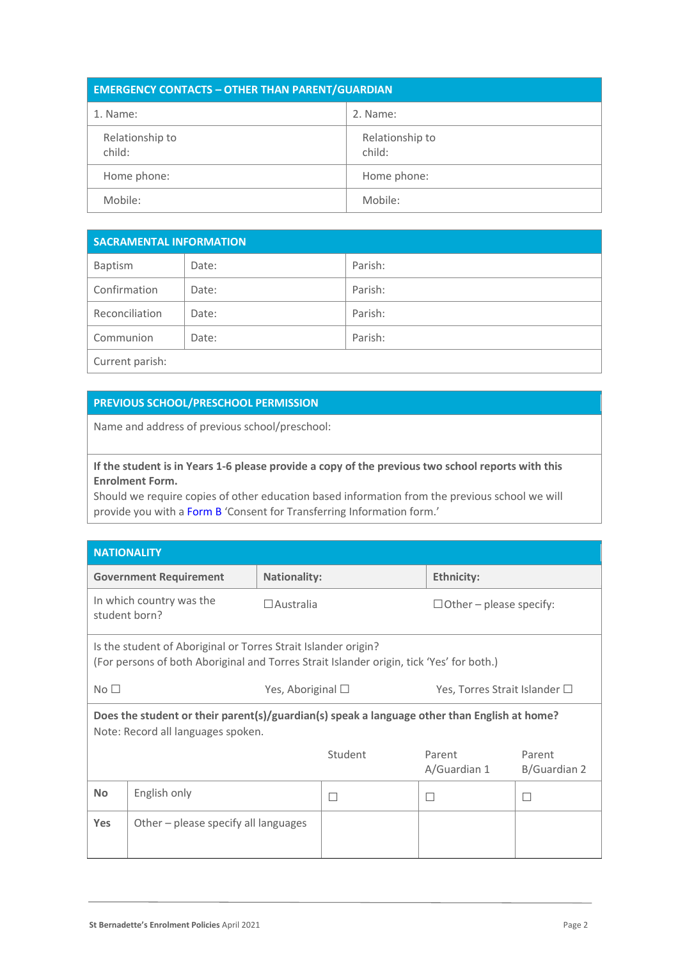| <b>EMERGENCY CONTACTS - OTHER THAN PARENT/GUARDIAN</b> |                           |  |  |  |
|--------------------------------------------------------|---------------------------|--|--|--|
| 1. Name:                                               | 2. Name:                  |  |  |  |
| Relationship to<br>child:                              | Relationship to<br>child: |  |  |  |
| Home phone:                                            | Home phone:               |  |  |  |
| Mobile:                                                | Mobile:                   |  |  |  |

| <b>SACRAMENTAL INFORMATION</b> |       |         |  |  |
|--------------------------------|-------|---------|--|--|
| Baptism                        | Date: | Parish: |  |  |
| Confirmation                   | Date: | Parish: |  |  |
| Reconciliation                 | Date: | Parish: |  |  |
| Communion                      | Date: | Parish: |  |  |
| Current parish:                |       |         |  |  |

## **PREVIOUS SCHOOL/PRESCHOOL PERMISSION**

Name and address of previous school/preschool:

## **If the student is in Years 1-6 please provide a copy of the previous two school reports with this Enrolment Form.**

Should we require copies of other education based information from the previous school we will provide you with a Form B 'Consent for Transferring Information form.'

| <b>NATIONALITY</b>                                                                                                                 |                                                                                                                                                            |                     |                                |                                       |                        |  |  |
|------------------------------------------------------------------------------------------------------------------------------------|------------------------------------------------------------------------------------------------------------------------------------------------------------|---------------------|--------------------------------|---------------------------------------|------------------------|--|--|
|                                                                                                                                    | <b>Government Requirement</b>                                                                                                                              | <b>Nationality:</b> |                                | <b>Ethnicity:</b>                     |                        |  |  |
| In which country was the<br>$\Box$ Australia<br>student born?                                                                      |                                                                                                                                                            |                     | $\Box$ Other – please specify: |                                       |                        |  |  |
|                                                                                                                                    | Is the student of Aboriginal or Torres Strait Islander origin?<br>(For persons of both Aboriginal and Torres Strait Islander origin, tick 'Yes' for both.) |                     |                                |                                       |                        |  |  |
| No <sub>1</sub><br>Yes, Aboriginal $\square$                                                                                       |                                                                                                                                                            |                     |                                | Yes, Torres Strait Islander $\square$ |                        |  |  |
| Does the student or their parent(s)/guardian(s) speak a language other than English at home?<br>Note: Record all languages spoken. |                                                                                                                                                            |                     |                                |                                       |                        |  |  |
|                                                                                                                                    |                                                                                                                                                            |                     | Student                        | Parent<br>A/Guardian 1                | Parent<br>B/Guardian 2 |  |  |
| <b>No</b>                                                                                                                          | English only                                                                                                                                               |                     |                                | П                                     |                        |  |  |
| <b>Yes</b>                                                                                                                         | Other $-$ please specify all languages                                                                                                                     |                     |                                |                                       |                        |  |  |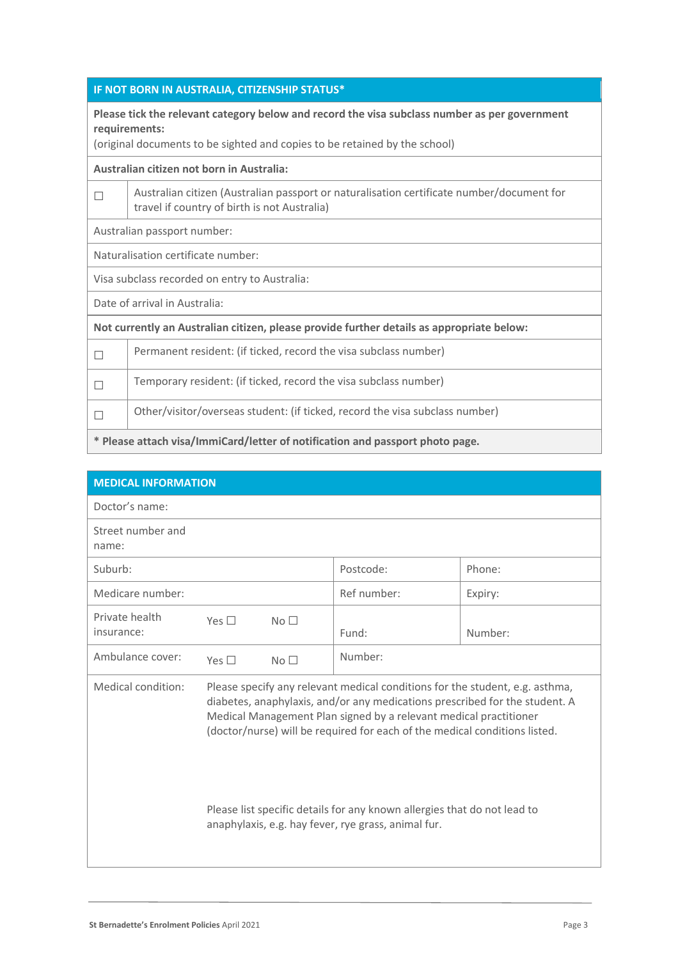|  | IF NOT BORN IN AUSTRALIA, CITIZENSHIP STATUS* |
|--|-----------------------------------------------|
|  |                                               |
|  |                                               |

**Please tick the relevant category below and record the visa subclass number as per government requirements:**

(original documents to be sighted and copies to be retained by the school)

**Australian citizen not born in Australia:**

| Australian citizen (Australian passport or naturalisation certificate number/document for |
|-------------------------------------------------------------------------------------------|
| I travel if country of birth is not Australia)                                            |

Australian passport number:

Naturalisation certificate number:

Visa subclass recorded on entry to Australia:

Date of arrival in Australia:

**Not currently an Australian citizen, please provide further details as appropriate below:**

| $\Box$ | Permanent resident: (if ticked, record the visa subclass number)             |
|--------|------------------------------------------------------------------------------|
| $\Box$ | Temporary resident: (if ticked, record the visa subclass number)             |
| $\Box$ | Other/visitor/overseas student: (if ticked, record the visa subclass number) |
|        |                                                                              |

**\* Please attach visa/ImmiCard/letter of notification and passport photo page.**

| <b>MEDICAL INFORMATION</b>   |               |                 |                                                                                                                                                                                                                                                                                                                                                                                                                                                   |         |
|------------------------------|---------------|-----------------|---------------------------------------------------------------------------------------------------------------------------------------------------------------------------------------------------------------------------------------------------------------------------------------------------------------------------------------------------------------------------------------------------------------------------------------------------|---------|
| Doctor's name:               |               |                 |                                                                                                                                                                                                                                                                                                                                                                                                                                                   |         |
| Street number and<br>name:   |               |                 |                                                                                                                                                                                                                                                                                                                                                                                                                                                   |         |
| Suburb:                      |               |                 | Postcode:                                                                                                                                                                                                                                                                                                                                                                                                                                         | Phone:  |
| Medicare number:             |               |                 | Ref number:                                                                                                                                                                                                                                                                                                                                                                                                                                       | Expiry: |
| Private health<br>insurance: | Yes $\square$ | No <sub>1</sub> | Fund:                                                                                                                                                                                                                                                                                                                                                                                                                                             | Number: |
| Ambulance cover:             | Yes $\Box$    | No <sub>1</sub> | Number:                                                                                                                                                                                                                                                                                                                                                                                                                                           |         |
| Medical condition:           |               |                 | Please specify any relevant medical conditions for the student, e.g. asthma,<br>diabetes, anaphylaxis, and/or any medications prescribed for the student. A<br>Medical Management Plan signed by a relevant medical practitioner<br>(doctor/nurse) will be required for each of the medical conditions listed.<br>Please list specific details for any known allergies that do not lead to<br>anaphylaxis, e.g. hay fever, rye grass, animal fur. |         |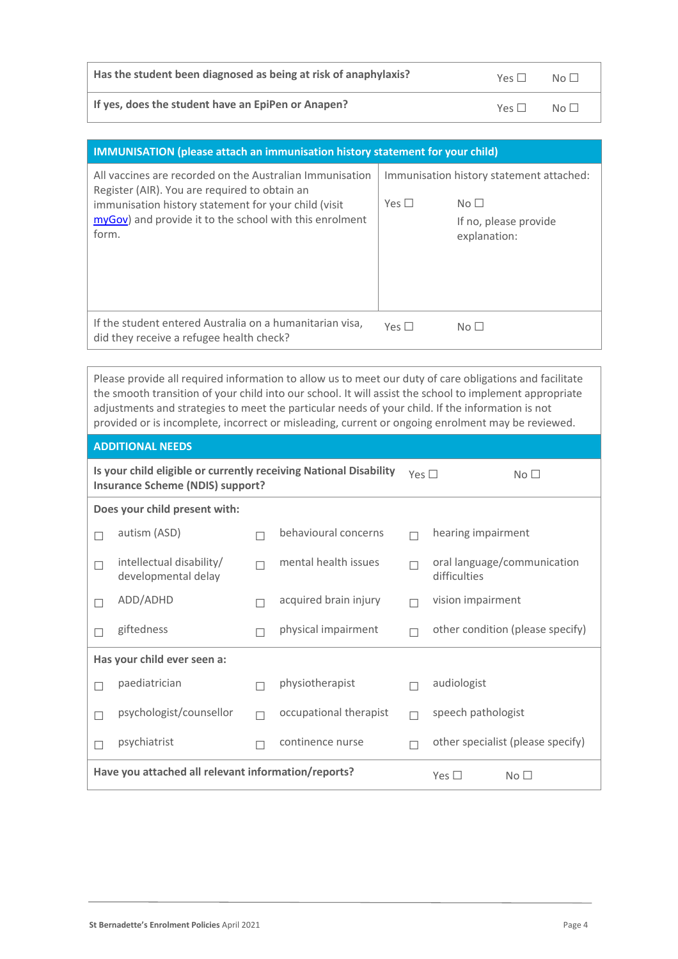| Has the student been diagnosed as being at risk of anaphylaxis? | Yes $\Box$ | $N \circ \Box$ |
|-----------------------------------------------------------------|------------|----------------|
|                                                                 |            |                |

**If yes, does the student have an EpiPen or Anapen?** Yes □ No □

| <b>IMMUNISATION</b> (please attach an immunisation history statement for your child)                                                                                                                                                  |            |                                                                                                      |
|---------------------------------------------------------------------------------------------------------------------------------------------------------------------------------------------------------------------------------------|------------|------------------------------------------------------------------------------------------------------|
| All vaccines are recorded on the Australian Immunisation<br>Register (AIR). You are required to obtain an<br>immunisation history statement for your child (visit<br>myGov) and provide it to the school with this enrolment<br>form. | Yes $\Box$ | Immunisation history statement attached:<br>No <sub>1</sub><br>If no, please provide<br>explanation: |
| If the student entered Australia on a humanitarian visa.<br>did they receive a refugee health check?                                                                                                                                  | Yes $\Box$ | No <sub>1</sub>                                                                                      |

Please provide all required information to allow us to meet our duty of care obligations and facilitate the smooth transition of your child into our school. It will assist the school to implement appropriate adjustments and strategies to meet the particular needs of your child. If the information is not provided or is incomplete, incorrect or misleading, current or ongoing enrolment may be reviewed.

|                                                                                                              | <b>ADDITIONAL NEEDS</b>                             |  |                        |                 |                                             |
|--------------------------------------------------------------------------------------------------------------|-----------------------------------------------------|--|------------------------|-----------------|---------------------------------------------|
| Is your child eligible or currently receiving National Disability<br><b>Insurance Scheme (NDIS) support?</b> |                                                     |  | Yes $\Box$             | No <sub>1</sub> |                                             |
|                                                                                                              | Does your child present with:                       |  |                        |                 |                                             |
|                                                                                                              | autism (ASD)                                        |  | behavioural concerns   |                 | hearing impairment                          |
| П                                                                                                            | intellectual disability/<br>developmental delay     |  | mental health issues   |                 | oral language/communication<br>difficulties |
|                                                                                                              | ADD/ADHD                                            |  | acquired brain injury  |                 | vision impairment                           |
| П                                                                                                            | giftedness                                          |  | physical impairment    |                 | other condition (please specify)            |
|                                                                                                              | Has your child ever seen a:                         |  |                        |                 |                                             |
| П                                                                                                            | paediatrician                                       |  | physiotherapist        |                 | audiologist                                 |
| П                                                                                                            | psychologist/counsellor                             |  | occupational therapist |                 | speech pathologist                          |
| п                                                                                                            | psychiatrist                                        |  | continence nurse       |                 | other specialist (please specify)           |
|                                                                                                              | Have you attached all relevant information/reports? |  |                        |                 | Yes $\square$<br>No <sub>1</sub>            |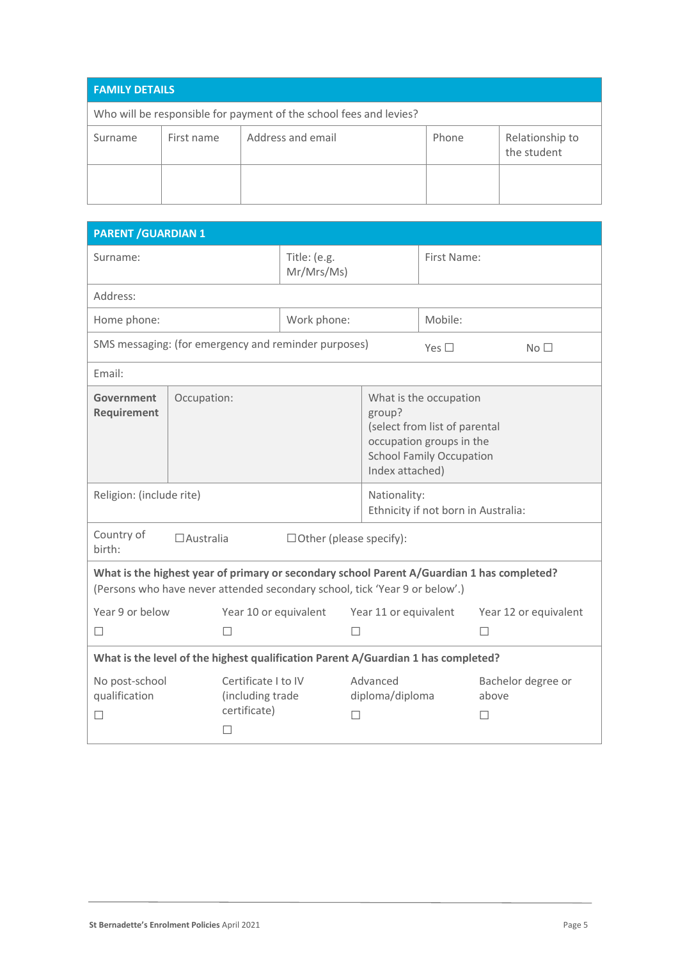| <b>FAMILY DETAILS</b>                                              |            |                   |       |                                |  |
|--------------------------------------------------------------------|------------|-------------------|-------|--------------------------------|--|
| Who will be responsible for payment of the school fees and levies? |            |                   |       |                                |  |
| Surname                                                            | First name | Address and email | Phone | Relationship to<br>the student |  |
|                                                                    |            |                   |       |                                |  |

| <b>PARENT / GUARDIAN 1</b>                                                        |             |                                                                         |                                                                                                                                                     |   |                             |               |                                                                                            |
|-----------------------------------------------------------------------------------|-------------|-------------------------------------------------------------------------|-----------------------------------------------------------------------------------------------------------------------------------------------------|---|-----------------------------|---------------|--------------------------------------------------------------------------------------------|
| Surname:                                                                          |             | Title: (e.g.<br>Mr/Mrs/Ms)                                              |                                                                                                                                                     |   | First Name:                 |               |                                                                                            |
| Address:                                                                          |             |                                                                         |                                                                                                                                                     |   |                             |               |                                                                                            |
| Home phone:                                                                       |             |                                                                         | Work phone:                                                                                                                                         |   |                             | Mobile:       |                                                                                            |
| SMS messaging: (for emergency and reminder purposes)                              |             |                                                                         |                                                                                                                                                     |   |                             | Yes $\square$ | No <sub>1</sub>                                                                            |
| Email:                                                                            |             |                                                                         |                                                                                                                                                     |   |                             |               |                                                                                            |
| Government<br><b>Requirement</b>                                                  | Occupation: |                                                                         | What is the occupation<br>group?<br>(select from list of parental<br>occupation groups in the<br><b>School Family Occupation</b><br>Index attached) |   |                             |               |                                                                                            |
| Religion: (include rite)                                                          |             |                                                                         | Nationality:<br>Ethnicity if not born in Australia:                                                                                                 |   |                             |               |                                                                                            |
| Country of<br>$\Box$ Australia<br>$\Box$ Other (please specify):<br>birth:        |             |                                                                         |                                                                                                                                                     |   |                             |               |                                                                                            |
| (Persons who have never attended secondary school, tick 'Year 9 or below'.)       |             |                                                                         |                                                                                                                                                     |   |                             |               | What is the highest year of primary or secondary school Parent A/Guardian 1 has completed? |
| Year 9 or below<br>П                                                              |             | Year 10 or equivalent<br>П                                              |                                                                                                                                                     | П | Year 11 or equivalent       |               | Year 12 or equivalent                                                                      |
| What is the level of the highest qualification Parent A/Guardian 1 has completed? |             |                                                                         |                                                                                                                                                     |   |                             |               |                                                                                            |
| No post-school<br>qualification<br>П                                              |             | Certificate I to IV<br>(including trade<br>certificate)<br>$\mathsf{L}$ |                                                                                                                                                     | П | Advanced<br>diploma/diploma |               | Bachelor degree or<br>above<br>$\mathsf{L}$                                                |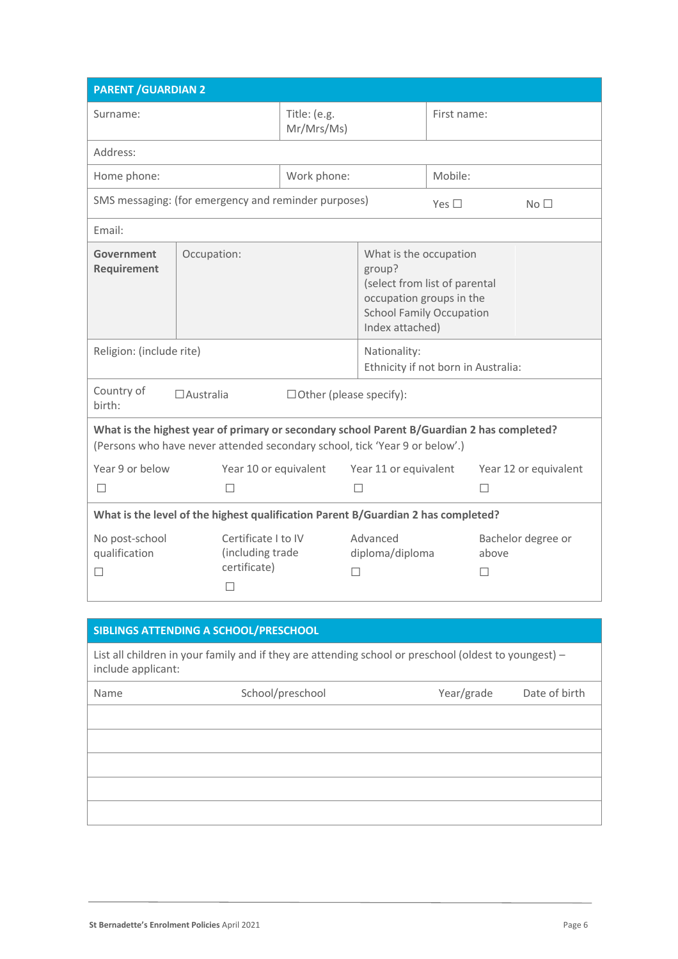| <b>PARENT / GUARDIAN 2</b>                                                                                                                                                |                                                              |                            |                                                                                                                                                     |               |                                       |
|---------------------------------------------------------------------------------------------------------------------------------------------------------------------------|--------------------------------------------------------------|----------------------------|-----------------------------------------------------------------------------------------------------------------------------------------------------|---------------|---------------------------------------|
| Surname:                                                                                                                                                                  |                                                              | Title: (e.g.<br>Mr/Mrs/Ms) |                                                                                                                                                     | First name:   |                                       |
| Address:                                                                                                                                                                  |                                                              |                            |                                                                                                                                                     |               |                                       |
| Home phone:                                                                                                                                                               |                                                              | Work phone:                |                                                                                                                                                     | Mobile:       |                                       |
|                                                                                                                                                                           | SMS messaging: (for emergency and reminder purposes)         |                            |                                                                                                                                                     | Yes $\square$ | No <sub>1</sub>                       |
| Email:                                                                                                                                                                    |                                                              |                            |                                                                                                                                                     |               |                                       |
| Government<br><b>Requirement</b>                                                                                                                                          | Occupation:                                                  |                            | What is the occupation<br>group?<br>(select from list of parental<br>occupation groups in the<br><b>School Family Occupation</b><br>Index attached) |               |                                       |
| Religion: (include rite)                                                                                                                                                  |                                                              |                            | Nationality:<br>Ethnicity if not born in Australia:                                                                                                 |               |                                       |
| Country of<br>$\Box$ Australia<br>$\Box$ Other (please specify):<br>birth:                                                                                                |                                                              |                            |                                                                                                                                                     |               |                                       |
| What is the highest year of primary or secondary school Parent B/Guardian 2 has completed?<br>(Persons who have never attended secondary school, tick 'Year 9 or below'.) |                                                              |                            |                                                                                                                                                     |               |                                       |
| Year 9 or below                                                                                                                                                           | Year 10 or equivalent                                        |                            | Year 11 or equivalent                                                                                                                               |               | Year 12 or equivalent                 |
| П                                                                                                                                                                         | П                                                            |                            | П                                                                                                                                                   |               | П                                     |
| What is the level of the highest qualification Parent B/Guardian 2 has completed?                                                                                         |                                                              |                            |                                                                                                                                                     |               |                                       |
| No post-school<br>qualification                                                                                                                                           | Certificate I to IV<br>(including trade<br>certificate)<br>П | П                          | Advanced<br>diploma/diploma                                                                                                                         |               | Bachelor degree or<br>above<br>$\Box$ |

| SIBLINGS ATTENDING A SCHOOL/PRESCHOOL |                                                                                                       |            |               |
|---------------------------------------|-------------------------------------------------------------------------------------------------------|------------|---------------|
| include applicant:                    | List all children in your family and if they are attending school or preschool (oldest to youngest) - |            |               |
| Name                                  | School/preschool                                                                                      | Year/grade | Date of birth |
|                                       |                                                                                                       |            |               |
|                                       |                                                                                                       |            |               |
|                                       |                                                                                                       |            |               |
|                                       |                                                                                                       |            |               |
|                                       |                                                                                                       |            |               |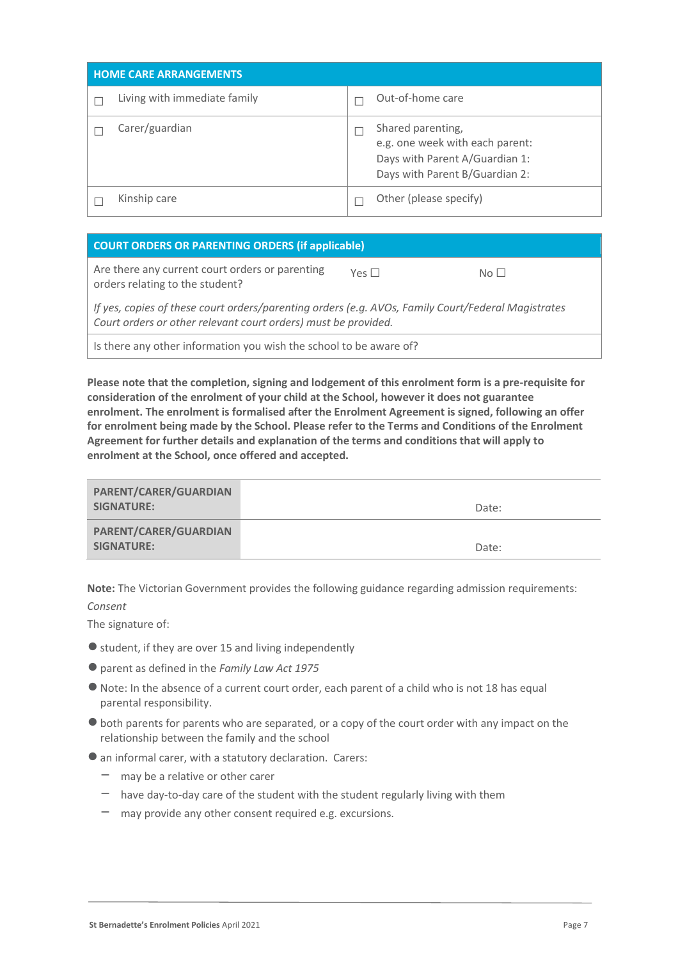| <b>HOME CARE ARRANGEMENTS</b> |                                                                                                                          |
|-------------------------------|--------------------------------------------------------------------------------------------------------------------------|
| Living with immediate family  | Out-of-home care                                                                                                         |
| Carer/guardian                | Shared parenting,<br>e.g. one week with each parent:<br>Days with Parent A/Guardian 1:<br>Days with Parent B/Guardian 2: |
| Kinship care                  | Other (please specify)                                                                                                   |

| <b>COURT ORDERS OR PARENTING ORDERS (if applicable)</b>                                                                                                              |            |                 |
|----------------------------------------------------------------------------------------------------------------------------------------------------------------------|------------|-----------------|
| Are there any current court orders or parenting<br>orders relating to the student?                                                                                   | Yes $\Box$ | $N \cap$ $\Box$ |
| If yes, copies of these court orders/parenting orders (e.g. AVOs, Family Court/Federal Magistrates<br>Court orders or other relevant court orders) must be provided. |            |                 |

Is there any other information you wish the school to be aware of?

**Please note that the completion, signing and lodgement of this enrolment form is a pre-requisite for consideration of the enrolment of your child at the School, however it does not guarantee enrolment. The enrolment is formalised after the Enrolment Agreement is signed, following an offer for enrolment being made by the School. Please refer to the Terms and Conditions of the Enrolment Agreement for further details and explanation of the terms and conditions that will apply to enrolment at the School, once offered and accepted.**

| PARENT/CARER/GUARDIAN<br>SIGNATURE: | Date: |
|-------------------------------------|-------|
| PARENT/CARER/GUARDIAN<br>SIGNATURE: | Date: |

**Note:** The Victorian Government provides the following guidance regarding admission requirements: *Consent*

The signature of:

- student, if they are over 15 and living independently
- ●parent as defined in the *Family Law Act 1975*
- Note: In the absence of a current court order, each parent of a child who is not 18 has equal parental responsibility.
- ●both parents for parents who are separated, or a copy of the court order with any impact on the relationship between the family and the school
- an informal carer, with a statutory declaration. Carers:
	- $-$  may be a relative or other carer
	- $-$  have day-to-day care of the student with the student regularly living with them
	- may provide any other consent required e.g. excursions.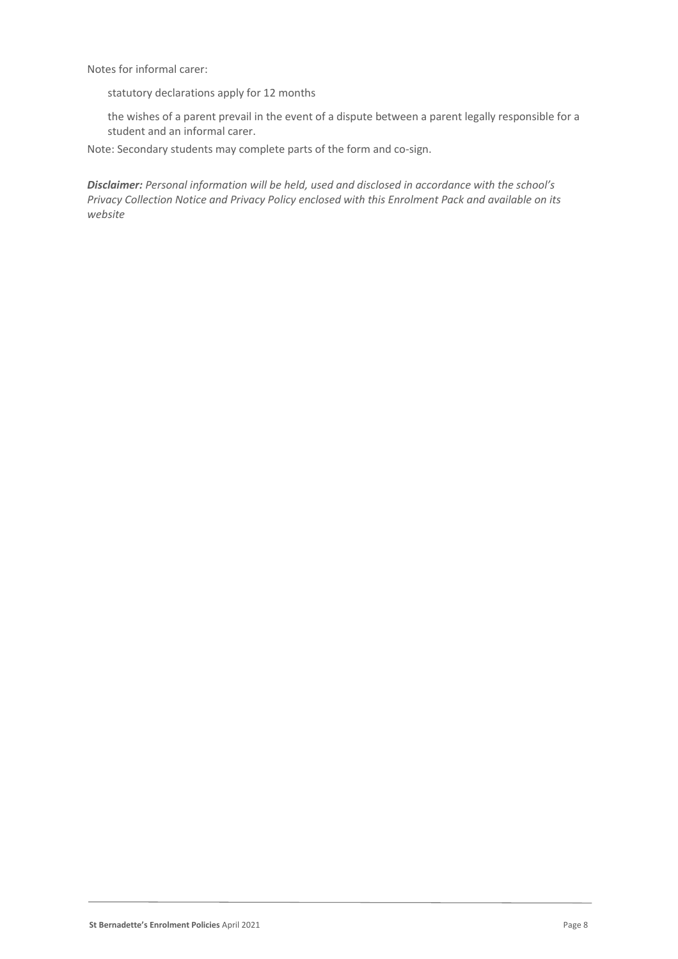Notes for informal carer:

statutory declarations apply for 12 months

the wishes of a parent prevail in the event of a dispute between a parent legally responsible for a student and an informal carer.

Note: Secondary students may complete parts of the form and co-sign.

*Disclaimer: Personal information will be held, used and disclosed in accordance with the school's Privacy Collection Notice and Privacy Policy enclosed with this Enrolment Pack and available on its website*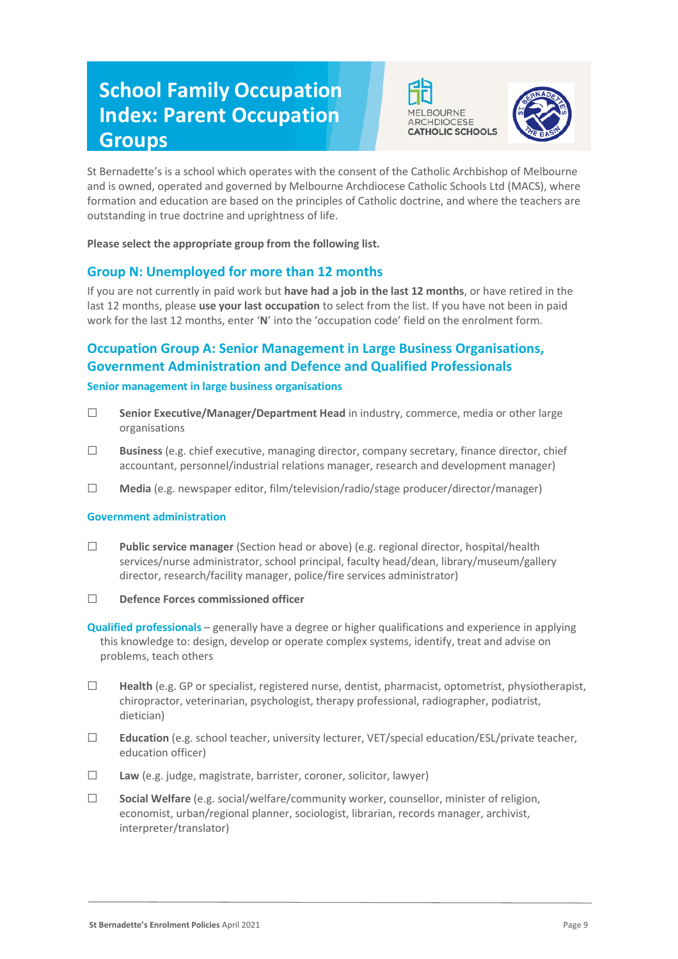# **School Family Occupation Index: Parent Occupation Groups**





St Bernadette's is a school which operates with the consent of the Catholic Archbishop of Melbourne and is owned, operated and governed by Melbourne Archdiocese Catholic Schools Ltd (MACS), where formation and education are based on the principles of Catholic doctrine, and where the teachers are outstanding in true doctrine and uprightness of life.

**Please select the appropriate group from the following list.**

## **Group N: Unemployed for more than 12 months**

If you are not currently in paid work but **have had a job in the last 12 months**, or have retired in the last 12 months, please **use your last occupation** to select from the list. If you have not been in paid work for the last 12 months, enter '**N**' into the 'occupation code' field on the enrolment form.

# **Occupation Group A: Senior Management in Large Business Organisations, Government Administration and Defence and Qualified Professionals**

#### **Senior management in large business organisations**

- ☐ **Senior Executive/Manager/Department Head** in industry, commerce, media or other large organisations
- ☐ **Business** (e.g. chief executive, managing director, company secretary, finance director, chief accountant, personnel/industrial relations manager, research and development manager)
- ☐ **Media** (e.g. newspaper editor, film/television/radio/stage producer/director/manager)

#### **Government administration**

- ☐ **Public service manager** (Section head or above) (e.g. regional director, hospital/health services/nurse administrator, school principal, faculty head/dean, library/museum/gallery director, research/facility manager, police/fire services administrator)
- ☐ **Defence Forces commissioned officer**

**Qualified professionals** – generally have a degree or higher qualifications and experience in applying this knowledge to: design, develop or operate complex systems, identify, treat and advise on problems, teach others

- ☐ **Health** (e.g. GP or specialist, registered nurse, dentist, pharmacist, optometrist, physiotherapist, chiropractor, veterinarian, psychologist, therapy professional, radiographer, podiatrist, dietician)
- ☐ **Education** (e.g. school teacher, university lecturer, VET/special education/ESL/private teacher, education officer)
- ☐ **Law** (e.g. judge, magistrate, barrister, coroner, solicitor, lawyer)
- ☐ **Social Welfare** (e.g. social/welfare/community worker, counsellor, minister of religion, economist, urban/regional planner, sociologist, librarian, records manager, archivist, interpreter/translator)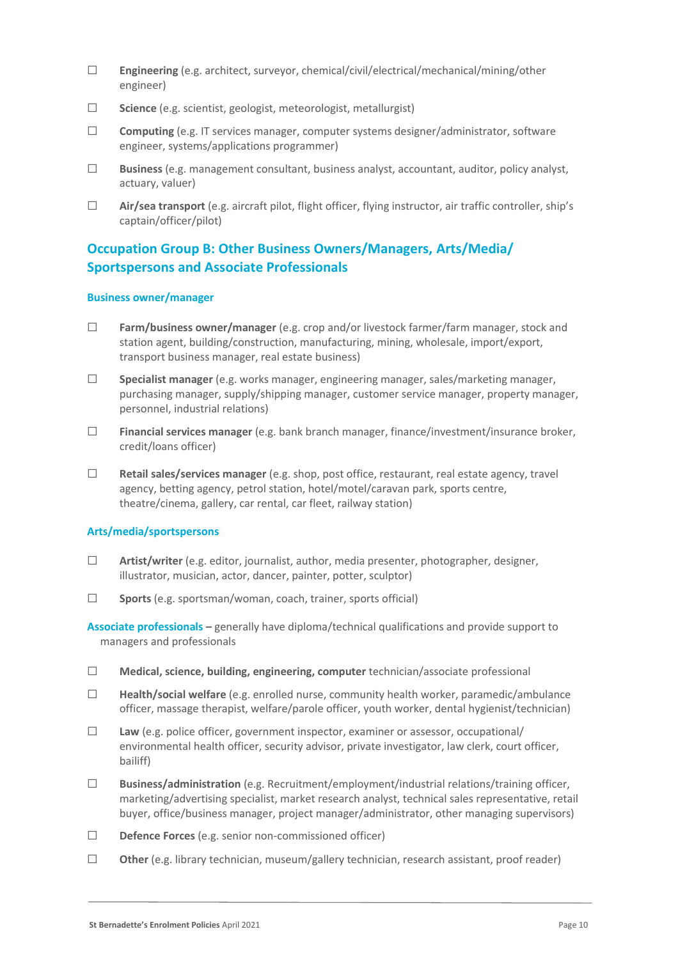- ☐ **Engineering** (e.g. architect, surveyor, chemical/civil/electrical/mechanical/mining/other engineer)
- ☐ **Science** (e.g. scientist, geologist, meteorologist, metallurgist)
- ☐ **Computing** (e.g. IT services manager, computer systems designer/administrator, software engineer, systems/applications programmer)
- ☐ **Business** (e.g. management consultant, business analyst, accountant, auditor, policy analyst, actuary, valuer)
- ☐ **Air/sea transport** (e.g. aircraft pilot, flight officer, flying instructor, air traffic controller, ship's captain/officer/pilot)

# **Occupation Group B: Other Business Owners/Managers, Arts/Media/ Sportspersons and Associate Professionals**

#### **Business owner/manager**

- ☐ **Farm/business owner/manager** (e.g. crop and/or livestock farmer/farm manager, stock and station agent, building/construction, manufacturing, mining, wholesale, import/export, transport business manager, real estate business)
- ☐ **Specialist manager** (e.g. works manager, engineering manager, sales/marketing manager, purchasing manager, supply/shipping manager, customer service manager, property manager, personnel, industrial relations)
- ☐ **Financial services manager** (e.g. bank branch manager, finance/investment/insurance broker, credit/loans officer)
- ☐ **Retail sales/services manager** (e.g. shop, post office, restaurant, real estate agency, travel agency, betting agency, petrol station, hotel/motel/caravan park, sports centre, theatre/cinema, gallery, car rental, car fleet, railway station)

### **Arts/media/sportspersons**

- ☐ **Artist/writer** (e.g. editor, journalist, author, media presenter, photographer, designer, illustrator, musician, actor, dancer, painter, potter, sculptor)
- ☐ **Sports** (e.g. sportsman/woman, coach, trainer, sports official)

**Associate professionals –** generally have diploma/technical qualifications and provide support to managers and professionals

- ☐ **Medical, science, building, engineering, computer** technician/associate professional
- ☐ **Health/social welfare** (e.g. enrolled nurse, community health worker, paramedic/ambulance officer, massage therapist, welfare/parole officer, youth worker, dental hygienist/technician)
- ☐ **Law** (e.g. police officer, government inspector, examiner or assessor, occupational/ environmental health officer, security advisor, private investigator, law clerk, court officer, bailiff)
- ☐ **Business/administration** (e.g. Recruitment/employment/industrial relations/training officer, marketing/advertising specialist, market research analyst, technical sales representative, retail buyer, office/business manager, project manager/administrator, other managing supervisors)
- ☐ **Defence Forces** (e.g. senior non-commissioned officer)
- ☐ **Other** (e.g. library technician, museum/gallery technician, research assistant, proof reader)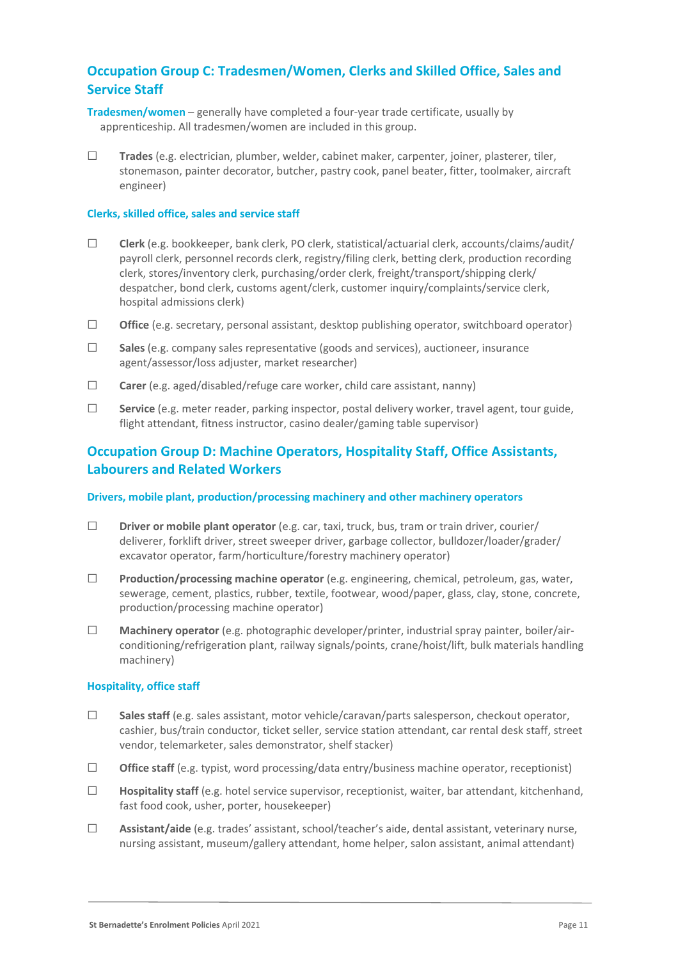## **Occupation Group C: Tradesmen/Women, Clerks and Skilled Office, Sales and Service Staff**

- **Tradesmen/women** generally have completed a four-year trade certificate, usually by apprenticeship. All tradesmen/women are included in this group.
- ☐ **Trades** (e.g. electrician, plumber, welder, cabinet maker, carpenter, joiner, plasterer, tiler, stonemason, painter decorator, butcher, pastry cook, panel beater, fitter, toolmaker, aircraft engineer)

#### **Clerks, skilled office, sales and service staff**

- ☐ **Clerk** (e.g. bookkeeper, bank clerk, PO clerk, statistical/actuarial clerk, accounts/claims/audit/ payroll clerk, personnel records clerk, registry/filing clerk, betting clerk, production recording clerk, stores/inventory clerk, purchasing/order clerk, freight/transport/shipping clerk/ despatcher, bond clerk, customs agent/clerk, customer inquiry/complaints/service clerk, hospital admissions clerk)
- ☐ **Office** (e.g. secretary, personal assistant, desktop publishing operator, switchboard operator)
- ☐ **Sales** (e.g. company sales representative (goods and services), auctioneer, insurance agent/assessor/loss adjuster, market researcher)
- ☐ **Carer** (e.g. aged/disabled/refuge care worker, child care assistant, nanny)
- ☐ **Service** (e.g. meter reader, parking inspector, postal delivery worker, travel agent, tour guide, flight attendant, fitness instructor, casino dealer/gaming table supervisor)

## **Occupation Group D: Machine Operators, Hospitality Staff, Office Assistants, Labourers and Related Workers**

#### **Drivers, mobile plant, production/processing machinery and other machinery operators**

- ☐ **Driver or mobile plant operator** (e.g. car, taxi, truck, bus, tram or train driver, courier/ deliverer, forklift driver, street sweeper driver, garbage collector, bulldozer/loader/grader/ excavator operator, farm/horticulture/forestry machinery operator)
- ☐ **Production/processing machine operator** (e.g. engineering, chemical, petroleum, gas, water, sewerage, cement, plastics, rubber, textile, footwear, wood/paper, glass, clay, stone, concrete, production/processing machine operator)
- ☐ **Machinery operator** (e.g. photographic developer/printer, industrial spray painter, boiler/airconditioning/refrigeration plant, railway signals/points, crane/hoist/lift, bulk materials handling machinery)

#### **Hospitality, office staff**

- ☐ **Sales staff** (e.g. sales assistant, motor vehicle/caravan/parts salesperson, checkout operator, cashier, bus/train conductor, ticket seller, service station attendant, car rental desk staff, street vendor, telemarketer, sales demonstrator, shelf stacker)
- ☐ **Office staff** (e.g. typist, word processing/data entry/business machine operator, receptionist)
- ☐ **Hospitality staff** (e.g. hotel service supervisor, receptionist, waiter, bar attendant, kitchenhand, fast food cook, usher, porter, housekeeper)
- ☐ **Assistant/aide** (e.g. trades' assistant, school/teacher's aide, dental assistant, veterinary nurse, nursing assistant, museum/gallery attendant, home helper, salon assistant, animal attendant)